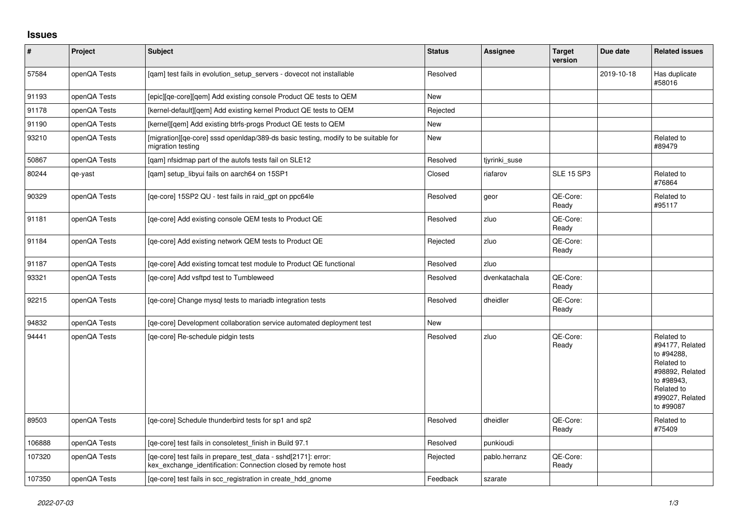## **Issues**

| $\vert$ # | Project      | <b>Subject</b>                                                                                                                  | <b>Status</b> | <b>Assignee</b> | <b>Target</b><br>version | Due date   | <b>Related issues</b>                                                                                                                    |
|-----------|--------------|---------------------------------------------------------------------------------------------------------------------------------|---------------|-----------------|--------------------------|------------|------------------------------------------------------------------------------------------------------------------------------------------|
| 57584     | openQA Tests | [gam] test fails in evolution setup servers - dovecot not installable                                                           | Resolved      |                 |                          | 2019-10-18 | Has duplicate<br>#58016                                                                                                                  |
| 91193     | openQA Tests | [epic][qe-core][qem] Add existing console Product QE tests to QEM                                                               | <b>New</b>    |                 |                          |            |                                                                                                                                          |
| 91178     | openQA Tests | [kernel-default][gem] Add existing kernel Product QE tests to QEM                                                               | Rejected      |                 |                          |            |                                                                                                                                          |
| 91190     | openQA Tests | [kernel][gem] Add existing btrfs-progs Product QE tests to QEM                                                                  | <b>New</b>    |                 |                          |            |                                                                                                                                          |
| 93210     | openQA Tests | [migration][qe-core] sssd openIdap/389-ds basic testing, modify to be suitable for<br>migration testing                         | New           |                 |                          |            | Related to<br>#89479                                                                                                                     |
| 50867     | openQA Tests | [qam] nfsidmap part of the autofs tests fail on SLE12                                                                           | Resolved      | tjyrinki_suse   |                          |            |                                                                                                                                          |
| 80244     | qe-yast      | [qam] setup_libyui fails on aarch64 on 15SP1                                                                                    | Closed        | riafarov        | <b>SLE 15 SP3</b>        |            | Related to<br>#76864                                                                                                                     |
| 90329     | openQA Tests | [qe-core] 15SP2 QU - test fails in raid_gpt on ppc64le                                                                          | Resolved      | geor            | QE-Core:<br>Ready        |            | Related to<br>#95117                                                                                                                     |
| 91181     | openQA Tests | [qe-core] Add existing console QEM tests to Product QE                                                                          | Resolved      | zluo            | QE-Core:<br>Ready        |            |                                                                                                                                          |
| 91184     | openQA Tests | [qe-core] Add existing network QEM tests to Product QE                                                                          | Rejected      | zluo            | QE-Core:<br>Ready        |            |                                                                                                                                          |
| 91187     | openQA Tests | [ge-core] Add existing tomcat test module to Product QE functional                                                              | Resolved      | zluo            |                          |            |                                                                                                                                          |
| 93321     | openQA Tests | [qe-core] Add vsftpd test to Tumbleweed                                                                                         | Resolved      | dvenkatachala   | QE-Core:<br>Ready        |            |                                                                                                                                          |
| 92215     | openQA Tests | [ge-core] Change mysgl tests to mariadb integration tests                                                                       | Resolved      | dheidler        | QE-Core:<br>Ready        |            |                                                                                                                                          |
| 94832     | openQA Tests | [qe-core] Development collaboration service automated deployment test                                                           | <b>New</b>    |                 |                          |            |                                                                                                                                          |
| 94441     | openQA Tests | [ge-core] Re-schedule pidgin tests                                                                                              | Resolved      | zluo            | QE-Core:<br>Ready        |            | Related to<br>#94177, Related<br>to #94288,<br>Related to<br>#98892, Related<br>to #98943.<br>Related to<br>#99027, Related<br>to #99087 |
| 89503     | openQA Tests | [qe-core] Schedule thunderbird tests for sp1 and sp2                                                                            | Resolved      | dheidler        | QE-Core:<br>Ready        |            | Related to<br>#75409                                                                                                                     |
| 106888    | openQA Tests | [qe-core] test fails in consoletest_finish in Build 97.1                                                                        | Resolved      | punkioudi       |                          |            |                                                                                                                                          |
| 107320    | openQA Tests | [qe-core] test fails in prepare_test_data - sshd[2171]: error:<br>kex_exchange_identification: Connection closed by remote host | Rejected      | pablo.herranz   | QE-Core:<br>Ready        |            |                                                                                                                                          |
| 107350    | openQA Tests | [ge-core] test fails in scc registration in create hdd gnome                                                                    | Feedback      | szarate         |                          |            |                                                                                                                                          |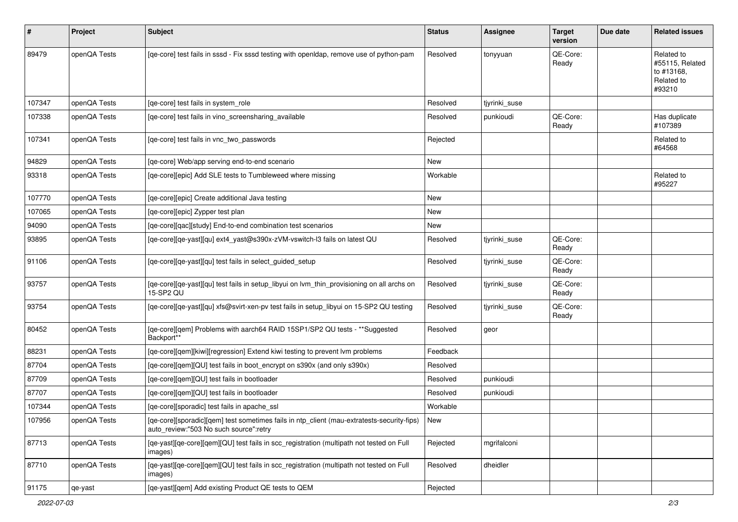| $\sharp$ | Project      | Subject                                                                                                                              | <b>Status</b> | <b>Assignee</b> | <b>Target</b><br>version | Due date | <b>Related issues</b>                                               |
|----------|--------------|--------------------------------------------------------------------------------------------------------------------------------------|---------------|-----------------|--------------------------|----------|---------------------------------------------------------------------|
| 89479    | openQA Tests | [qe-core] test fails in sssd - Fix sssd testing with openIdap, remove use of python-pam                                              | Resolved      | tonyyuan        | QE-Core:<br>Ready        |          | Related to<br>#55115, Related<br>to #13168,<br>Related to<br>#93210 |
| 107347   | openQA Tests | [qe-core] test fails in system_role                                                                                                  | Resolved      | tiyrinki suse   |                          |          |                                                                     |
| 107338   | openQA Tests | [qe-core] test fails in vino_screensharing_available                                                                                 | Resolved      | punkioudi       | QE-Core:<br>Ready        |          | Has duplicate<br>#107389                                            |
| 107341   | openQA Tests | [qe-core] test fails in vnc_two_passwords                                                                                            | Rejected      |                 |                          |          | Related to<br>#64568                                                |
| 94829    | openQA Tests | [qe-core] Web/app serving end-to-end scenario                                                                                        | New           |                 |                          |          |                                                                     |
| 93318    | openQA Tests | [qe-core][epic] Add SLE tests to Tumbleweed where missing                                                                            | Workable      |                 |                          |          | Related to<br>#95227                                                |
| 107770   | openQA Tests | [qe-core][epic] Create additional Java testing                                                                                       | New           |                 |                          |          |                                                                     |
| 107065   | openQA Tests | [qe-core][epic] Zypper test plan                                                                                                     | New           |                 |                          |          |                                                                     |
| 94090    | openQA Tests | [qe-core][qac][study] End-to-end combination test scenarios                                                                          | New           |                 |                          |          |                                                                     |
| 93895    | openQA Tests | [qe-core][qe-yast][qu] ext4_yast@s390x-zVM-vswitch-l3 fails on latest QU                                                             | Resolved      | tjyrinki_suse   | QE-Core:<br>Ready        |          |                                                                     |
| 91106    | openQA Tests | [qe-core][qe-yast][qu] test fails in select_guided_setup                                                                             | Resolved      | tjyrinki_suse   | QE-Core:<br>Ready        |          |                                                                     |
| 93757    | openQA Tests | [qe-core][qe-yast][qu] test fails in setup_libyui on lvm_thin_provisioning on all archs on<br>15-SP2 QU                              | Resolved      | tjyrinki_suse   | QE-Core:<br>Ready        |          |                                                                     |
| 93754    | openQA Tests | [qe-core][qe-yast][qu] xfs@svirt-xen-pv test fails in setup_libyui on 15-SP2 QU testing                                              | Resolved      | tjyrinki_suse   | QE-Core:<br>Ready        |          |                                                                     |
| 80452    | openQA Tests | [qe-core][qem] Problems with aarch64 RAID 15SP1/SP2 QU tests - **Suggested<br>Backport**                                             | Resolved      | geor            |                          |          |                                                                     |
| 88231    | openQA Tests | [qe-core][qem][kiwi][regression] Extend kiwi testing to prevent lvm problems                                                         | Feedback      |                 |                          |          |                                                                     |
| 87704    | openQA Tests | [qe-core][qem][QU] test fails in boot_encrypt on s390x (and only s390x)                                                              | Resolved      |                 |                          |          |                                                                     |
| 87709    | openQA Tests | [qe-core][qem][QU] test fails in bootloader                                                                                          | Resolved      | punkioudi       |                          |          |                                                                     |
| 87707    | openQA Tests | [qe-core][qem][QU] test fails in bootloader                                                                                          | Resolved      | punkioudi       |                          |          |                                                                     |
| 107344   | openQA Tests | [qe-core][sporadic] test fails in apache_ssl                                                                                         | Workable      |                 |                          |          |                                                                     |
| 107956   | openQA Tests | [qe-core][sporadic][qem] test sometimes fails in ntp_client (mau-extratests-security-fips)<br>auto_review:"503 No such source":retry | New           |                 |                          |          |                                                                     |
| 87713    | openQA Tests | [qe-yast][qe-core][qem][QU] test fails in scc_registration (multipath not tested on Full<br>images)                                  | Rejected      | mgrifalconi     |                          |          |                                                                     |
| 87710    | openQA Tests | [qe-yast][qe-core][qem][QU] test fails in scc_registration (multipath not tested on Full<br>images)                                  | Resolved      | dheidler        |                          |          |                                                                     |
| 91175    | qe-yast      | [qe-yast][qem] Add existing Product QE tests to QEM                                                                                  | Rejected      |                 |                          |          |                                                                     |